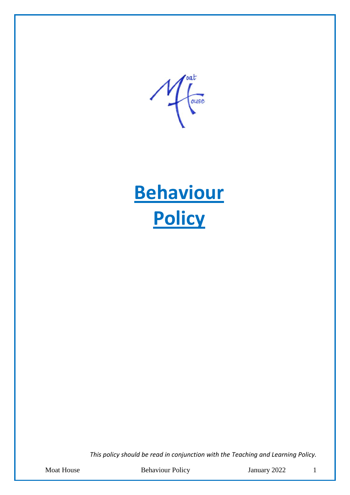oat  $\mathcal{A}$ ouse



*This policy should be read in conjunction with the Teaching and Learning Policy.*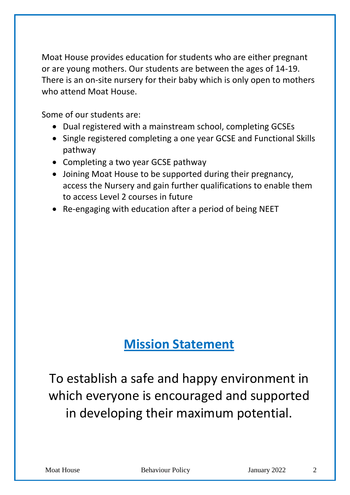Moat House provides education for students who are either pregnant or are young mothers. Our students are between the ages of 14-19. There is an on-site nursery for their baby which is only open to mothers who attend Moat House.

Some of our students are:

- Dual registered with a mainstream school, completing GCSEs
- Single registered completing a one year GCSE and Functional Skills pathway
- Completing a two year GCSE pathway
- Joining Moat House to be supported during their pregnancy, access the Nursery and gain further qualifications to enable them to access Level 2 courses in future
- Re-engaging with education after a period of being NEET

# **Mission Statement**

To establish a safe and happy environment in which everyone is encouraged and supported in developing their maximum potential.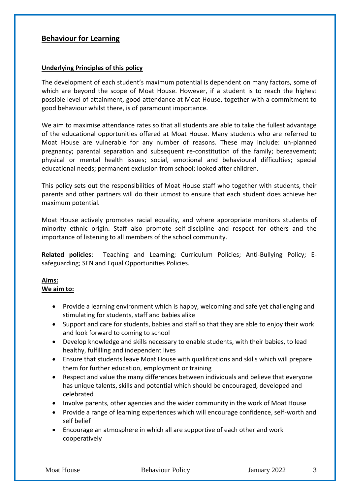### **Behaviour for Learning**

#### **Underlying Principles of this policy**

The development of each student's maximum potential is dependent on many factors, some of which are beyond the scope of Moat House. However, if a student is to reach the highest possible level of attainment, good attendance at Moat House, together with a commitment to good behaviour whilst there, is of paramount importance.

We aim to maximise attendance rates so that all students are able to take the fullest advantage of the educational opportunities offered at Moat House. Many students who are referred to Moat House are vulnerable for any number of reasons. These may include: un-planned pregnancy; parental separation and subsequent re-constitution of the family; bereavement; physical or mental health issues; social, emotional and behavioural difficulties; special educational needs; permanent exclusion from school; looked after children.

This policy sets out the responsibilities of Moat House staff who together with students, their parents and other partners will do their utmost to ensure that each student does achieve her maximum potential.

Moat House actively promotes racial equality, and where appropriate monitors students of minority ethnic origin. Staff also promote self-discipline and respect for others and the importance of listening to all members of the school community.

**Related policies**: Teaching and Learning; Curriculum Policies; Anti-Bullying Policy; Esafeguarding; SEN and Equal Opportunities Policies.

## **Aims:**

#### **We aim to:**

- Provide a learning environment which is happy, welcoming and safe yet challenging and stimulating for students, staff and babies alike
- Support and care for students, babies and staff so that they are able to enjoy their work and look forward to coming to school
- Develop knowledge and skills necessary to enable students, with their babies, to lead healthy, fulfilling and independent lives
- Ensure that students leave Moat House with qualifications and skills which will prepare them for further education, employment or training
- Respect and value the many differences between individuals and believe that everyone has unique talents, skills and potential which should be encouraged, developed and celebrated
- Involve parents, other agencies and the wider community in the work of Moat House
- Provide a range of learning experiences which will encourage confidence, self-worth and self belief
- Encourage an atmosphere in which all are supportive of each other and work cooperatively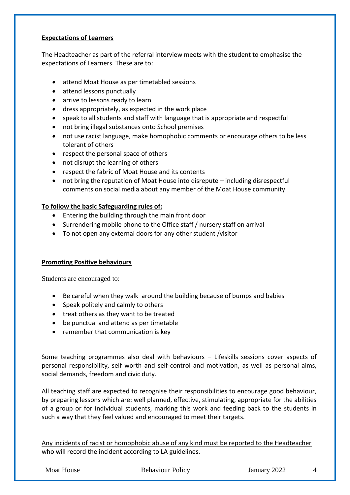#### **Expectations of Learners**

The Headteacher as part of the referral interview meets with the student to emphasise the expectations of Learners. These are to:

- attend Moat House as per timetabled sessions
- attend lessons punctually
- arrive to lessons ready to learn
- dress appropriately, as expected in the work place
- speak to all students and staff with language that is appropriate and respectful
- not bring illegal substances onto School premises
- not use racist language, make homophobic comments or encourage others to be less tolerant of others
- respect the personal space of others
- not disrupt the learning of others
- respect the fabric of Moat House and its contents
- not bring the reputation of Moat House into disrepute including disrespectful comments on social media about any member of the Moat House community

#### **To follow the basic Safeguarding rules of:**

- Entering the building through the main front door
- Surrendering mobile phone to the Office staff / nursery staff on arrival
- To not open any external doors for any other student /visitor

#### **Promoting Positive behaviours**

Students are encouraged to:

- Be careful when they walk around the building because of bumps and babies
- Speak politely and calmly to others
- treat others as they want to be treated
- be punctual and attend as per timetable
- remember that communication is key

Some teaching programmes also deal with behaviours – Lifeskills sessions cover aspects of personal responsibility, self worth and self-control and motivation, as well as personal aims, social demands, freedom and civic duty.

All teaching staff are expected to recognise their responsibilities to encourage good behaviour, by preparing lessons which are: well planned, effective, stimulating, appropriate for the abilities of a group or for individual students, marking this work and feeding back to the students in such a way that they feel valued and encouraged to meet their targets.

Any incidents of racist or homophobic abuse of any kind must be reported to the Headteacher who will record the incident according to LA guidelines.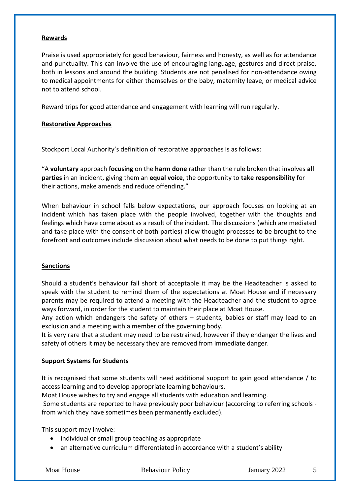#### **Rewards**

Praise is used appropriately for good behaviour, fairness and honesty, as well as for attendance and punctuality. This can involve the use of encouraging language, gestures and direct praise, both in lessons and around the building. Students are not penalised for non-attendance owing to medical appointments for either themselves or the baby, maternity leave, or medical advice not to attend school.

Reward trips for good attendance and engagement with learning will run regularly.

#### **Restorative Approaches**

Stockport Local Authority's definition of restorative approaches is as follows:

"A **voluntary** approach **focusing** on the **harm done** rather than the rule broken that involves **all parties** in an incident, giving them an **equal voice**, the opportunity to **take responsibility** for their actions, make amends and reduce offending."

When behaviour in school falls below expectations, our approach focuses on looking at an incident which has taken place with the people involved, together with the thoughts and feelings which have come about as a result of the incident. The discussions (which are mediated and take place with the consent of both parties) allow thought processes to be brought to the forefront and outcomes include discussion about what needs to be done to put things right.

#### **Sanctions**

Should a student's behaviour fall short of acceptable it may be the Headteacher is asked to speak with the student to remind them of the expectations at Moat House and if necessary parents may be required to attend a meeting with the Headteacher and the student to agree ways forward, in order for the student to maintain their place at Moat House.

Any action which endangers the safety of others – students, babies or staff may lead to an exclusion and a meeting with a member of the governing body.

It is very rare that a student may need to be restrained, however if they endanger the lives and safety of others it may be necessary they are removed from immediate danger.

#### **Support Systems for Students**

It is recognised that some students will need additional support to gain good attendance / to access learning and to develop appropriate learning behaviours.

Moat House wishes to try and engage all students with education and learning.

Some students are reported to have previously poor behaviour (according to referring schools from which they have sometimes been permanently excluded).

This support may involve:

- individual or small group teaching as appropriate
- an alternative curriculum differentiated in accordance with a student's ability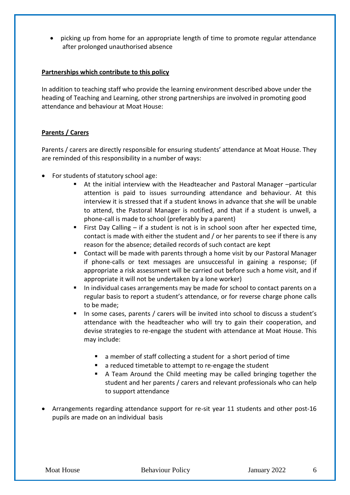picking up from home for an appropriate length of time to promote regular attendance after prolonged unauthorised absence

#### **Partnerships which contribute to this policy**

In addition to teaching staff who provide the learning environment described above under the heading of Teaching and Learning, other strong partnerships are involved in promoting good attendance and behaviour at Moat House:

#### **Parents / Carers**

Parents / carers are directly responsible for ensuring students' attendance at Moat House. They are reminded of this responsibility in a number of ways:

- For students of statutory school age:
	- At the initial interview with the Headteacher and Pastoral Manager –particular attention is paid to issues surrounding attendance and behaviour. At this interview it is stressed that if a student knows in advance that she will be unable to attend, the Pastoral Manager is notified, and that if a student is unwell, a phone-call is made to school (preferably by a parent)
	- First Day Calling if a student is not is in school soon after her expected time, contact is made with either the student and / or her parents to see if there is any reason for the absence; detailed records of such contact are kept
	- **E** Contact will be made with parents through a home visit by our Pastoral Manager if phone-calls or text messages are unsuccessful in gaining a response; (if appropriate a risk assessment will be carried out before such a home visit, and if appropriate it will not be undertaken by a lone worker)
	- In individual cases arrangements may be made for school to contact parents on a regular basis to report a student's attendance, or for reverse charge phone calls to be made;
	- In some cases, parents / carers will be invited into school to discuss a student's attendance with the headteacher who will try to gain their cooperation, and devise strategies to re-engage the student with attendance at Moat House. This may include:
		- a member of staff collecting a student for a short period of time
		- a reduced timetable to attempt to re-engage the student
		- A Team Around the Child meeting may be called bringing together the student and her parents / carers and relevant professionals who can help to support attendance
- Arrangements regarding attendance support for re-sit year 11 students and other post-16 pupils are made on an individual basis